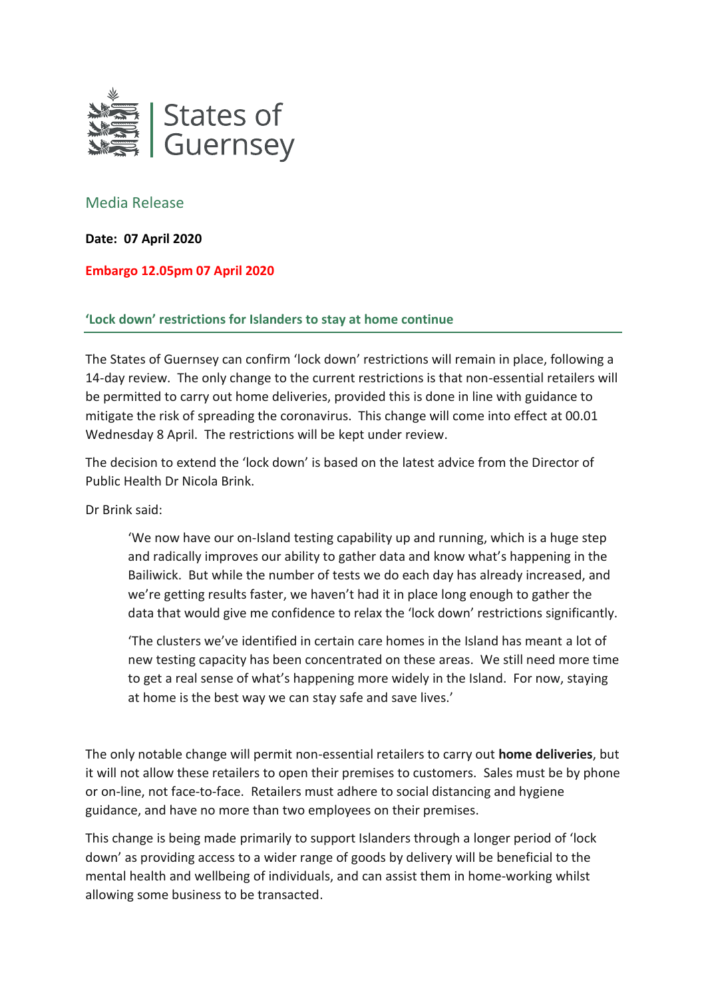

## Media Release

**Date: 07 April 2020**

## **Embargo 12.05pm 07 April 2020**

## **'Lock down' restrictions for Islanders to stay at home continue**

The States of Guernsey can confirm 'lock down' restrictions will remain in place, following a 14-day review. The only change to the current restrictions is that non-essential retailers will be permitted to carry out home deliveries, provided this is done in line with guidance to mitigate the risk of spreading the coronavirus. This change will come into effect at 00.01 Wednesday 8 April. The restrictions will be kept under review.

The decision to extend the 'lock down' is based on the latest advice from the Director of Public Health Dr Nicola Brink.

Dr Brink said:

'We now have our on-Island testing capability up and running, which is a huge step and radically improves our ability to gather data and know what's happening in the Bailiwick. But while the number of tests we do each day has already increased, and we're getting results faster, we haven't had it in place long enough to gather the data that would give me confidence to relax the 'lock down' restrictions significantly.

'The clusters we've identified in certain care homes in the Island has meant a lot of new testing capacity has been concentrated on these areas. We still need more time to get a real sense of what's happening more widely in the Island. For now, staying at home is the best way we can stay safe and save lives.'

The only notable change will permit non-essential retailers to carry out **home deliveries**, but it will not allow these retailers to open their premises to customers. Sales must be by phone or on-line, not face-to-face. Retailers must adhere to social distancing and hygiene guidance, and have no more than two employees on their premises.

This change is being made primarily to support Islanders through a longer period of 'lock down' as providing access to a wider range of goods by delivery will be beneficial to the mental health and wellbeing of individuals, and can assist them in home-working whilst allowing some business to be transacted.